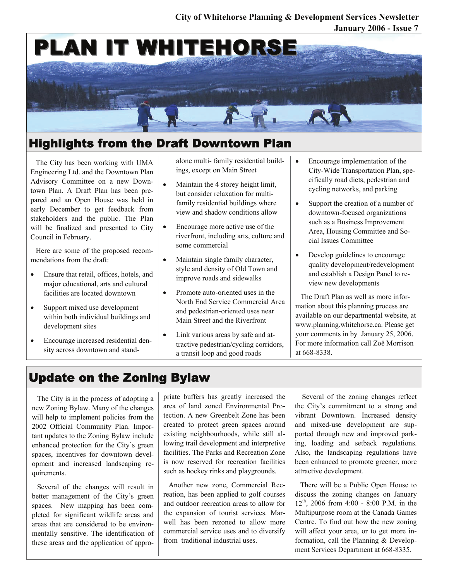#### **January 2006 - Issue 7 City of Whitehorse Planning & Development Services Newsletter**



# Highlights from the Draft Downtown Plan

The City has been working with UMA Engineering Ltd. and the Downtown Plan Advisory Committee on a new Downtown Plan. A Draft Plan has been prepared and an Open House was held in early December to get feedback from stakeholders and the public. The Plan will be finalized and presented to City Council in February.

Here are some of the proposed recommendations from the draft:

- Ensure that retail, offices, hotels, and major educational, arts and cultural facilities are located downtown
- Support mixed use development within both individual buildings and development sites
- Encourage increased residential density across downtown and stand-

alone multi- family residential buildings, except on Main Street

- Maintain the 4 storey height limit, but consider relaxation for multifamily residential buildings where view and shadow conditions allow
- Encourage more active use of the riverfront, including arts, culture and some commercial
- Maintain single family character, style and density of Old Town and improve roads and sidewalks
- Promote auto-oriented uses in the North End Service Commercial Area and pedestrian-oriented uses near Main Street and the Riverfront
- Link various areas by safe and attractive pedestrian/cycling corridors, a transit loop and good roads
- Encourage implementation of the City-Wide Transportation Plan, specifically road diets, pedestrian and cycling networks, and parking
- Support the creation of a number of downtown-focused organizations such as a Business Improvement Area, Housing Committee and Social Issues Committee
- Develop guidelines to encourage quality development/redevelopment and establish a Design Panel to review new developments

The Draft Plan as well as more information about this planning process are available on our departmental website, at www.planning.whitehorse.ca. Please get your comments in by January 25, 2006. For more information call Zoë Morrison at 668-8338.

## Update on the Zoning Bylaw

The City is in the process of adopting a new Zoning Bylaw. Many of the changes will help to implement policies from the 2002 Official Community Plan. Important updates to the Zoning Bylaw include enhanced protection for the City's green spaces, incentives for downtown development and increased landscaping requirements.

Several of the changes will result in better management of the City's green spaces. New mapping has been completed for significant wildlife areas and areas that are considered to be environmentally sensitive. The identification of these areas and the application of appropriate buffers has greatly increased the area of land zoned Environmental Protection. A new Greenbelt Zone has been created to protect green spaces around existing neighbourhoods, while still allowing trail development and interpretive facilities. The Parks and Recreation Zone is now reserved for recreation facilities such as hockey rinks and playgrounds.

Another new zone, Commercial Recreation, has been applied to golf courses and outdoor recreation areas to allow for the expansion of tourist services. Marwell has been rezoned to allow more commercial service uses and to diversify from traditional industrial uses.

 Several of the zoning changes reflect the City's commitment to a strong and vibrant Downtown. Increased density and mixed-use development are supported through new and improved parking, loading and setback regulations. Also, the landscaping regulations have been enhanced to promote greener, more attractive development.

There will be a Public Open House to discuss the zoning changes on January  $12^{th}$ , 2006 from 4:00 - 8:00 P.M. in the Multipurpose room at the Canada Games Centre. To find out how the new zoning will affect your area, or to get more information, call the Planning & Development Services Department at 668-8335.